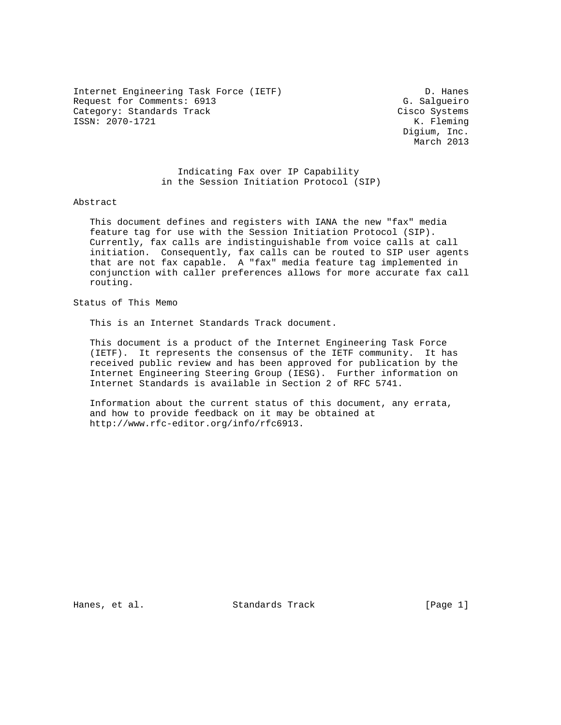Internet Engineering Task Force (IETF) D. Hanes Request for Comments: 6913 G. Salgueiro<br>
Category: Standards Track Gisco Systems Category: Standards Track ISSN: 2070-1721 K. Fleming

 Digium, Inc. March 2013

 Indicating Fax over IP Capability in the Session Initiation Protocol (SIP)

Abstract

 This document defines and registers with IANA the new "fax" media feature tag for use with the Session Initiation Protocol (SIP). Currently, fax calls are indistinguishable from voice calls at call initiation. Consequently, fax calls can be routed to SIP user agents that are not fax capable. A "fax" media feature tag implemented in conjunction with caller preferences allows for more accurate fax call routing.

Status of This Memo

This is an Internet Standards Track document.

 This document is a product of the Internet Engineering Task Force (IETF). It represents the consensus of the IETF community. It has received public review and has been approved for publication by the Internet Engineering Steering Group (IESG). Further information on Internet Standards is available in Section 2 of RFC 5741.

 Information about the current status of this document, any errata, and how to provide feedback on it may be obtained at http://www.rfc-editor.org/info/rfc6913.

Hanes, et al. Standards Track [Page 1]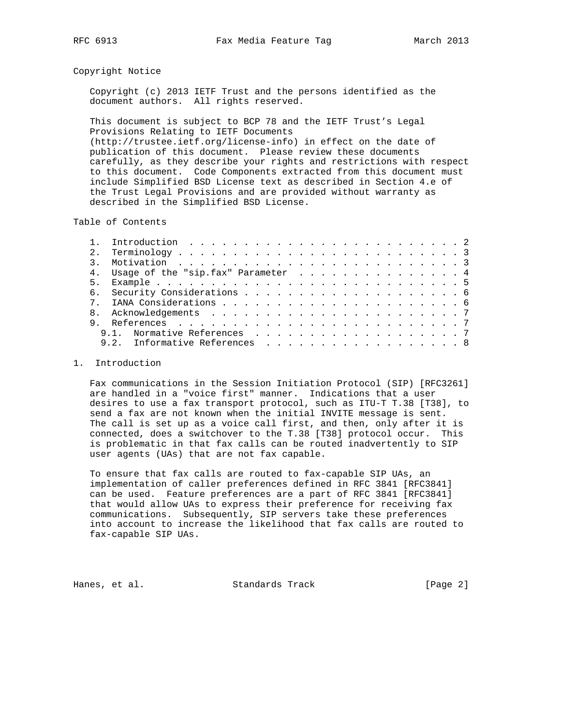## Copyright Notice

 Copyright (c) 2013 IETF Trust and the persons identified as the document authors. All rights reserved.

 This document is subject to BCP 78 and the IETF Trust's Legal Provisions Relating to IETF Documents (http://trustee.ietf.org/license-info) in effect on the date of publication of this document. Please review these documents carefully, as they describe your rights and restrictions with respect to this document. Code Components extracted from this document must include Simplified BSD License text as described in Section 4.e of the Trust Legal Provisions and are provided without warranty as described in the Simplified BSD License.

Table of Contents

| 2.1   |                                       |  |
|-------|---------------------------------------|--|
|       |                                       |  |
|       | 4. Usage of the "sip.fax" Parameter 4 |  |
| $5 -$ |                                       |  |
|       |                                       |  |
|       |                                       |  |
|       |                                       |  |
|       |                                       |  |
|       |                                       |  |
|       | Informative References 8              |  |
|       |                                       |  |

## 1. Introduction

 Fax communications in the Session Initiation Protocol (SIP) [RFC3261] are handled in a "voice first" manner. Indications that a user desires to use a fax transport protocol, such as ITU-T T.38 [T38], to send a fax are not known when the initial INVITE message is sent. The call is set up as a voice call first, and then, only after it is connected, does a switchover to the T.38 [T38] protocol occur. This is problematic in that fax calls can be routed inadvertently to SIP user agents (UAs) that are not fax capable.

 To ensure that fax calls are routed to fax-capable SIP UAs, an implementation of caller preferences defined in RFC 3841 [RFC3841] can be used. Feature preferences are a part of RFC 3841 [RFC3841] that would allow UAs to express their preference for receiving fax communications. Subsequently, SIP servers take these preferences into account to increase the likelihood that fax calls are routed to fax-capable SIP UAs.

Hanes, et al. Standards Track [Page 2]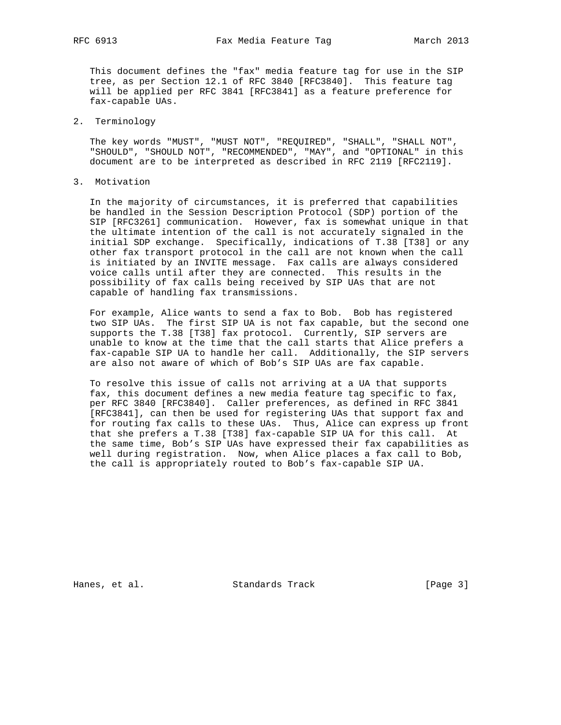This document defines the "fax" media feature tag for use in the SIP tree, as per Section 12.1 of RFC 3840 [RFC3840]. This feature tag will be applied per RFC 3841 [RFC3841] as a feature preference for fax-capable UAs.

2. Terminology

 The key words "MUST", "MUST NOT", "REQUIRED", "SHALL", "SHALL NOT", "SHOULD", "SHOULD NOT", "RECOMMENDED", "MAY", and "OPTIONAL" in this document are to be interpreted as described in RFC 2119 [RFC2119].

3. Motivation

 In the majority of circumstances, it is preferred that capabilities be handled in the Session Description Protocol (SDP) portion of the SIP [RFC3261] communication. However, fax is somewhat unique in that the ultimate intention of the call is not accurately signaled in the initial SDP exchange. Specifically, indications of T.38 [T38] or any other fax transport protocol in the call are not known when the call is initiated by an INVITE message. Fax calls are always considered voice calls until after they are connected. This results in the possibility of fax calls being received by SIP UAs that are not capable of handling fax transmissions.

 For example, Alice wants to send a fax to Bob. Bob has registered two SIP UAs. The first SIP UA is not fax capable, but the second one supports the T.38 [T38] fax protocol. Currently, SIP servers are unable to know at the time that the call starts that Alice prefers a fax-capable SIP UA to handle her call. Additionally, the SIP servers are also not aware of which of Bob's SIP UAs are fax capable.

 To resolve this issue of calls not arriving at a UA that supports fax, this document defines a new media feature tag specific to fax, per RFC 3840 [RFC3840]. Caller preferences, as defined in RFC 3841 [RFC3841], can then be used for registering UAs that support fax and for routing fax calls to these UAs. Thus, Alice can express up front that she prefers a T.38 [T38] fax-capable SIP UA for this call. At the same time, Bob's SIP UAs have expressed their fax capabilities as well during registration. Now, when Alice places a fax call to Bob, the call is appropriately routed to Bob's fax-capable SIP UA.

Hanes, et al. Standards Track [Page 3]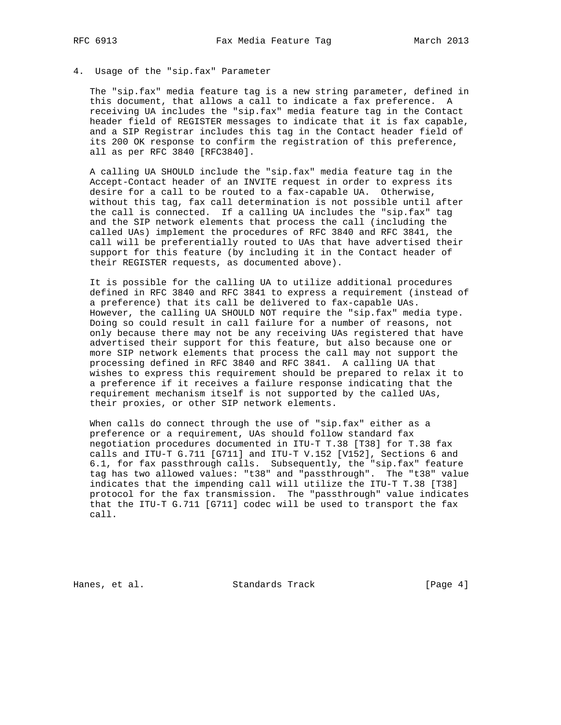## 4. Usage of the "sip.fax" Parameter

 The "sip.fax" media feature tag is a new string parameter, defined in this document, that allows a call to indicate a fax preference. A receiving UA includes the "sip.fax" media feature tag in the Contact header field of REGISTER messages to indicate that it is fax capable, and a SIP Registrar includes this tag in the Contact header field of its 200 OK response to confirm the registration of this preference, all as per RFC 3840 [RFC3840].

 A calling UA SHOULD include the "sip.fax" media feature tag in the Accept-Contact header of an INVITE request in order to express its desire for a call to be routed to a fax-capable UA. Otherwise, without this tag, fax call determination is not possible until after the call is connected. If a calling UA includes the "sip.fax" tag and the SIP network elements that process the call (including the called UAs) implement the procedures of RFC 3840 and RFC 3841, the call will be preferentially routed to UAs that have advertised their support for this feature (by including it in the Contact header of their REGISTER requests, as documented above).

 It is possible for the calling UA to utilize additional procedures defined in RFC 3840 and RFC 3841 to express a requirement (instead of a preference) that its call be delivered to fax-capable UAs. However, the calling UA SHOULD NOT require the "sip.fax" media type. Doing so could result in call failure for a number of reasons, not only because there may not be any receiving UAs registered that have advertised their support for this feature, but also because one or more SIP network elements that process the call may not support the processing defined in RFC 3840 and RFC 3841. A calling UA that wishes to express this requirement should be prepared to relax it to a preference if it receives a failure response indicating that the requirement mechanism itself is not supported by the called UAs, their proxies, or other SIP network elements.

 When calls do connect through the use of "sip.fax" either as a preference or a requirement, UAs should follow standard fax negotiation procedures documented in ITU-T T.38 [T38] for T.38 fax calls and ITU-T G.711 [G711] and ITU-T V.152 [V152], Sections 6 and 6.1, for fax passthrough calls. Subsequently, the "sip.fax" feature tag has two allowed values: "t38" and "passthrough". The "t38" value indicates that the impending call will utilize the ITU-T T.38 [T38] protocol for the fax transmission. The "passthrough" value indicates that the ITU-T G.711 [G711] codec will be used to transport the fax call.

Hanes, et al. Standards Track [Page 4]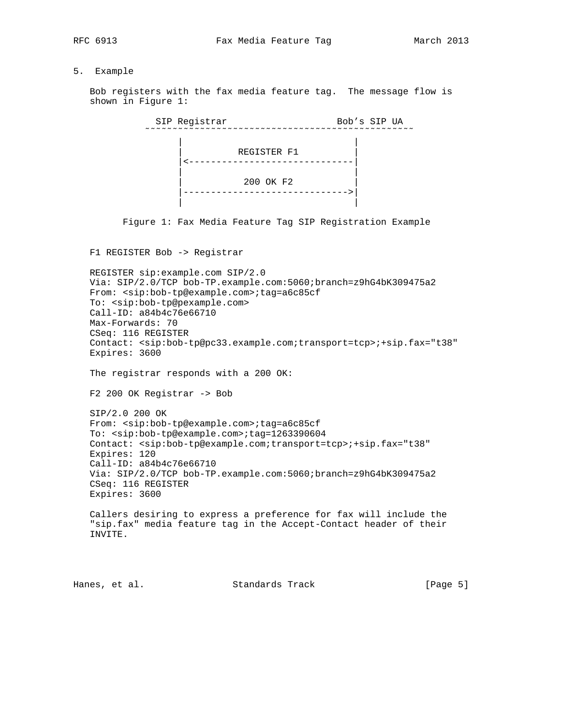## 5. Example

 Bob registers with the fax media feature tag. The message flow is shown in Figure 1:

 SIP Registrar Bob's SIP UA ˜˜˜˜˜˜˜˜˜˜˜˜˜˜˜˜˜˜˜˜˜˜˜˜˜˜˜˜˜˜˜˜˜˜˜˜˜˜˜˜˜˜˜˜˜˜˜˜˜ | | | REGISTER F1 | |<------------------------------| | | | 200 OK F2 | |------------------------------>| | |

Figure 1: Fax Media Feature Tag SIP Registration Example

F1 REGISTER Bob -> Registrar

 REGISTER sip:example.com SIP/2.0 Via: SIP/2.0/TCP bob-TP.example.com:5060;branch=z9hG4bK309475a2 From: <sip:bob-tp@example.com>;tag=a6c85cf To: <sip:bob-tp@pexample.com> Call-ID: a84b4c76e66710 Max-Forwards: 70 CSeq: 116 REGISTER Contact: <sip:bob-tp@pc33.example.com;transport=tcp>;+sip.fax="t38" Expires: 3600 The registrar responds with a 200 OK: F2 200 OK Registrar -> Bob SIP/2.0 200 OK From: <sip:bob-tp@example.com>;tag=a6c85cf To: <sip:bob-tp@example.com>;tag=1263390604 Contact: <sip:bob-tp@example.com;transport=tcp>;+sip.fax="t38" Expires: 120 Call-ID: a84b4c76e66710 Via: SIP/2.0/TCP bob-TP.example.com:5060;branch=z9hG4bK309475a2 CSeq: 116 REGISTER Expires: 3600 Callers desiring to express a preference for fax will include the "sip.fax" media feature tag in the Accept-Contact header of their INVITE.

Hanes, et al. Standards Track [Page 5]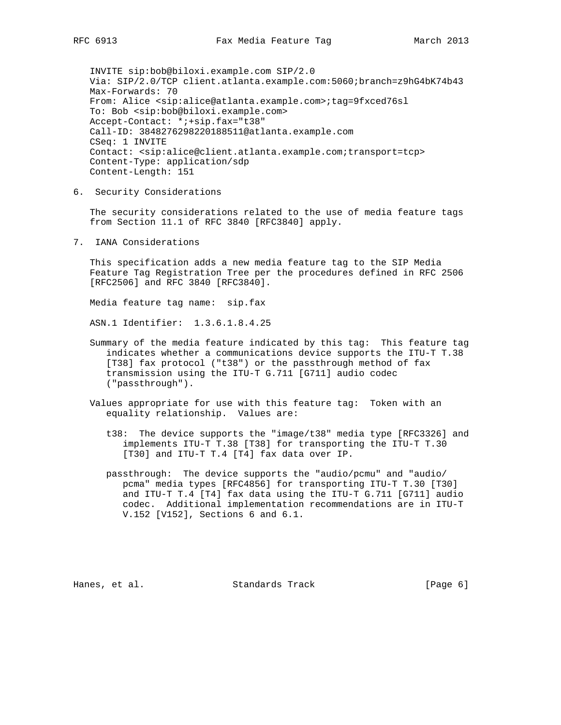INVITE sip:bob@biloxi.example.com SIP/2.0 Via: SIP/2.0/TCP client.atlanta.example.com:5060;branch=z9hG4bK74b43 Max-Forwards: 70 From: Alice <sip:alice@atlanta.example.com>;tag=9fxced76sl To: Bob <sip:bob@biloxi.example.com> Accept-Contact: \*;+sip.fax="t38" Call-ID: 3848276298220188511@atlanta.example.com CSeq: 1 INVITE Contact: <sip:alice@client.atlanta.example.com;transport=tcp> Content-Type: application/sdp Content-Length: 151

6. Security Considerations

 The security considerations related to the use of media feature tags from Section 11.1 of RFC 3840 [RFC3840] apply.

7. IANA Considerations

 This specification adds a new media feature tag to the SIP Media Feature Tag Registration Tree per the procedures defined in RFC 2506 [RFC2506] and RFC 3840 [RFC3840].

Media feature tag name: sip.fax

ASN.1 Identifier: 1.3.6.1.8.4.25

- Summary of the media feature indicated by this tag: This feature tag indicates whether a communications device supports the ITU-T T.38 [T38] fax protocol ("t38") or the passthrough method of fax transmission using the ITU-T G.711 [G711] audio codec ("passthrough").
- Values appropriate for use with this feature tag: Token with an equality relationship. Values are:
	- t38: The device supports the "image/t38" media type [RFC3326] and implements ITU-T T.38 [T38] for transporting the ITU-T T.30 [T30] and ITU-T T.4 [T4] fax data over IP.
	- passthrough: The device supports the "audio/pcmu" and "audio/ pcma" media types [RFC4856] for transporting ITU-T T.30 [T30] and ITU-T T.4 [T4] fax data using the ITU-T G.711 [G711] audio codec. Additional implementation recommendations are in ITU-T V.152 [V152], Sections 6 and 6.1.

Hanes, et al. Standards Track [Page 6]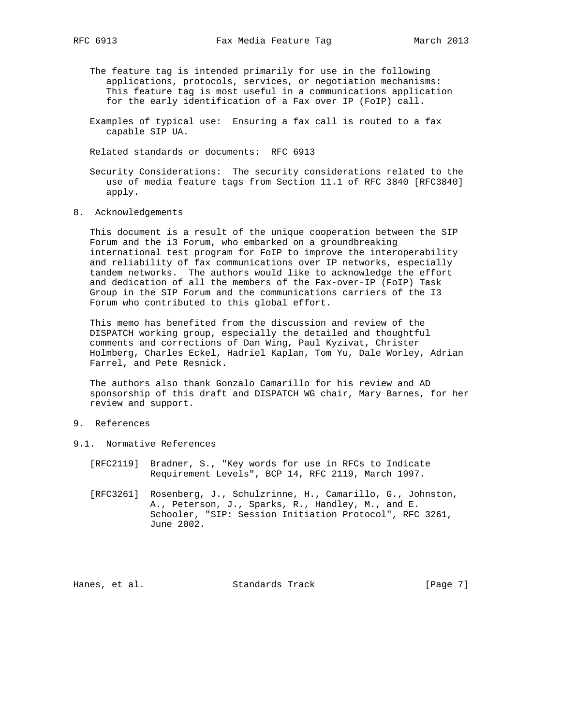- The feature tag is intended primarily for use in the following applications, protocols, services, or negotiation mechanisms: This feature tag is most useful in a communications application for the early identification of a Fax over IP (FoIP) call.
- Examples of typical use: Ensuring a fax call is routed to a fax capable SIP UA.

Related standards or documents: RFC 6913

- Security Considerations: The security considerations related to the use of media feature tags from Section 11.1 of RFC 3840 [RFC3840] apply.
- 8. Acknowledgements

 This document is a result of the unique cooperation between the SIP Forum and the i3 Forum, who embarked on a groundbreaking international test program for FoIP to improve the interoperability and reliability of fax communications over IP networks, especially tandem networks. The authors would like to acknowledge the effort and dedication of all the members of the Fax-over-IP (FoIP) Task Group in the SIP Forum and the communications carriers of the I3 Forum who contributed to this global effort.

 This memo has benefited from the discussion and review of the DISPATCH working group, especially the detailed and thoughtful comments and corrections of Dan Wing, Paul Kyzivat, Christer Holmberg, Charles Eckel, Hadriel Kaplan, Tom Yu, Dale Worley, Adrian Farrel, and Pete Resnick.

 The authors also thank Gonzalo Camarillo for his review and AD sponsorship of this draft and DISPATCH WG chair, Mary Barnes, for her review and support.

- 9. References
- 9.1. Normative References
	- [RFC2119] Bradner, S., "Key words for use in RFCs to Indicate Requirement Levels", BCP 14, RFC 2119, March 1997.
	- [RFC3261] Rosenberg, J., Schulzrinne, H., Camarillo, G., Johnston, A., Peterson, J., Sparks, R., Handley, M., and E. Schooler, "SIP: Session Initiation Protocol", RFC 3261, June 2002.

Hanes, et al. Standards Track [Page 7]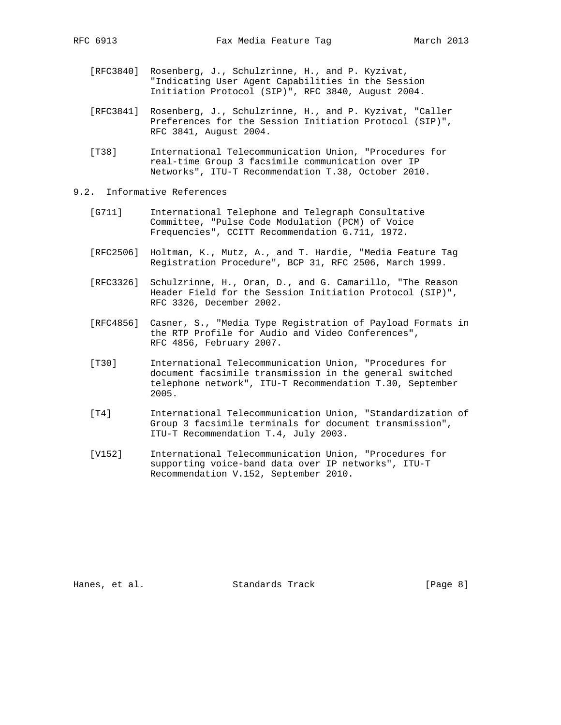- - [RFC3840] Rosenberg, J., Schulzrinne, H., and P. Kyzivat, "Indicating User Agent Capabilities in the Session Initiation Protocol (SIP)", RFC 3840, August 2004.
	- [RFC3841] Rosenberg, J., Schulzrinne, H., and P. Kyzivat, "Caller Preferences for the Session Initiation Protocol (SIP)", RFC 3841, August 2004.
	- [T38] International Telecommunication Union, "Procedures for real-time Group 3 facsimile communication over IP Networks", ITU-T Recommendation T.38, October 2010.
- 9.2. Informative References
	- [G711] International Telephone and Telegraph Consultative Committee, "Pulse Code Modulation (PCM) of Voice Frequencies", CCITT Recommendation G.711, 1972.
	- [RFC2506] Holtman, K., Mutz, A., and T. Hardie, "Media Feature Tag Registration Procedure", BCP 31, RFC 2506, March 1999.
	- [RFC3326] Schulzrinne, H., Oran, D., and G. Camarillo, "The Reason Header Field for the Session Initiation Protocol (SIP)", RFC 3326, December 2002.
	- [RFC4856] Casner, S., "Media Type Registration of Payload Formats in the RTP Profile for Audio and Video Conferences", RFC 4856, February 2007.
	- [T30] International Telecommunication Union, "Procedures for document facsimile transmission in the general switched telephone network", ITU-T Recommendation T.30, September 2005.
	- [T4] International Telecommunication Union, "Standardization of Group 3 facsimile terminals for document transmission", ITU-T Recommendation T.4, July 2003.
	- [V152] International Telecommunication Union, "Procedures for supporting voice-band data over IP networks", ITU-T Recommendation V.152, September 2010.

Hanes, et al. Standards Track [Page 8]